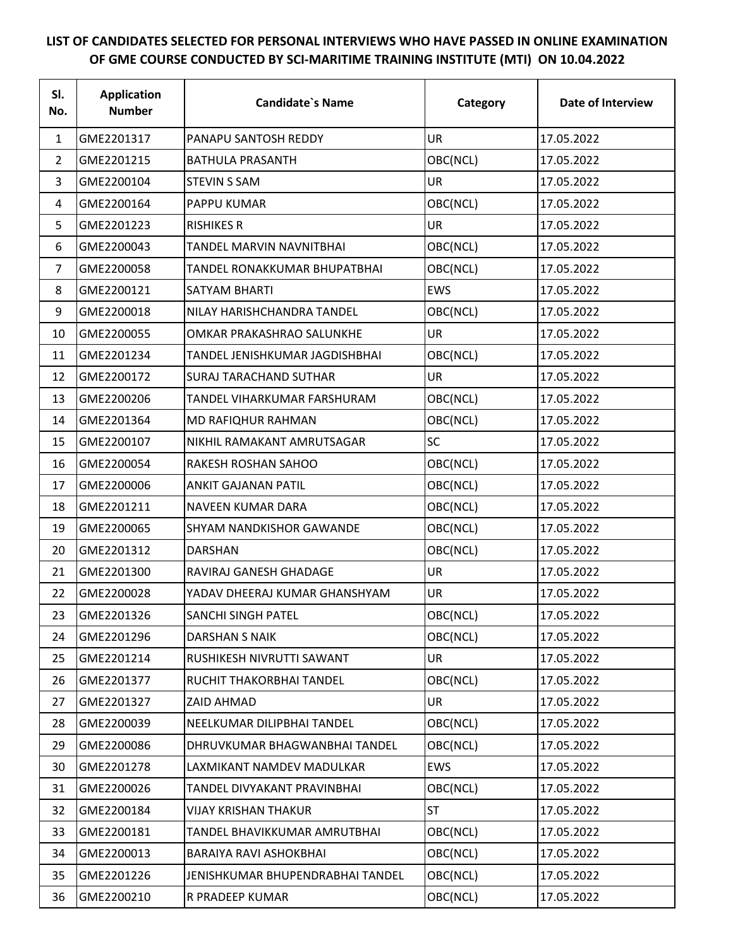## **LIST OF CANDIDATES SELECTED FOR PERSONAL INTERVIEWS WHO HAVE PASSED IN ONLINE EXAMINATION OF GME COURSE CONDUCTED BY SCI-MARITIME TRAINING INSTITUTE (MTI) ON 10.04.2022**

| SI.<br>No.     | <b>Application</b><br><b>Number</b> | <b>Candidate's Name</b>          | Category   | Date of Interview |
|----------------|-------------------------------------|----------------------------------|------------|-------------------|
| 1              | GME2201317                          | PANAPU SANTOSH REDDY             | UR         | 17.05.2022        |
| 2              | GME2201215                          | <b>BATHULA PRASANTH</b>          | OBC(NCL)   | 17.05.2022        |
| 3              | GME2200104                          | <b>STEVIN S SAM</b>              | UR         | 17.05.2022        |
| 4              | GME2200164                          | <b>PAPPU KUMAR</b>               | OBC(NCL)   | 17.05.2022        |
| 5              | GME2201223                          | <b>RISHIKES R</b>                | <b>UR</b>  | 17.05.2022        |
| 6              | GME2200043                          | TANDEL MARVIN NAVNITBHAI         | OBC(NCL)   | 17.05.2022        |
| $\overline{7}$ | GME2200058                          | TANDEL RONAKKUMAR BHUPATBHAI     | OBC(NCL)   | 17.05.2022        |
| 8              | GME2200121                          | SATYAM BHARTI                    | <b>EWS</b> | 17.05.2022        |
| 9              | GME2200018                          | NILAY HARISHCHANDRA TANDEL       | OBC(NCL)   | 17.05.2022        |
| 10             | GME2200055                          | OMKAR PRAKASHRAO SALUNKHE        | UR         | 17.05.2022        |
| 11             | GME2201234                          | TANDEL JENISHKUMAR JAGDISHBHAI   | OBC(NCL)   | 17.05.2022        |
| 12             | GME2200172                          | <b>SURAJ TARACHAND SUTHAR</b>    | UR         | 17.05.2022        |
| 13             | GME2200206                          | TANDEL VIHARKUMAR FARSHURAM      | OBC(NCL)   | 17.05.2022        |
| 14             | GME2201364                          | MD RAFIQHUR RAHMAN               | OBC(NCL)   | 17.05.2022        |
| 15             | GME2200107                          | NIKHIL RAMAKANT AMRUTSAGAR       | <b>SC</b>  | 17.05.2022        |
| 16             | GME2200054                          | <b>RAKESH ROSHAN SAHOO</b>       | OBC(NCL)   | 17.05.2022        |
| 17             | GME2200006                          | <b>ANKIT GAJANAN PATIL</b>       | OBC(NCL)   | 17.05.2022        |
| 18             | GME2201211                          | NAVEEN KUMAR DARA                | OBC(NCL)   | 17.05.2022        |
| 19             | GME2200065                          | SHYAM NANDKISHOR GAWANDE         | OBC(NCL)   | 17.05.2022        |
| 20             | GME2201312                          | <b>DARSHAN</b>                   | OBC(NCL)   | 17.05.2022        |
| 21             | GME2201300                          | RAVIRAJ GANESH GHADAGE           | UR         | 17.05.2022        |
| 22             | GME2200028                          | YADAV DHEERAJ KUMAR GHANSHYAM    | UR         | 17.05.2022        |
| 23             | GME2201326                          | SANCHI SINGH PATEL               | OBC(NCL)   | 17.05.2022        |
| 24             | GME2201296                          | <b>DARSHAN S NAIK</b>            | OBC(NCL)   | 17.05.2022        |
| 25             | GME2201214                          | RUSHIKESH NIVRUTTI SAWANT        | <b>UR</b>  | 17.05.2022        |
| 26             | GME2201377                          | RUCHIT THAKORBHAI TANDEL         | OBC(NCL)   | 17.05.2022        |
| 27             | GME2201327                          | ZAID AHMAD                       | <b>UR</b>  | 17.05.2022        |
| 28             | GME2200039                          | NEELKUMAR DILIPBHAI TANDEL       | OBC(NCL)   | 17.05.2022        |
| 29             | GME2200086                          | DHRUVKUMAR BHAGWANBHAI TANDEL    | OBC(NCL)   | 17.05.2022        |
| 30             | GME2201278                          | LAXMIKANT NAMDEV MADULKAR        | <b>EWS</b> | 17.05.2022        |
| 31             | GME2200026                          | TANDEL DIVYAKANT PRAVINBHAI      | OBC(NCL)   | 17.05.2022        |
| 32             | GME2200184                          | <b>VIJAY KRISHAN THAKUR</b>      | <b>ST</b>  | 17.05.2022        |
| 33             | GME2200181                          | TANDEL BHAVIKKUMAR AMRUTBHAI     | OBC(NCL)   | 17.05.2022        |
| 34             | GME2200013                          | BARAIYA RAVI ASHOKBHAI           | OBC(NCL)   | 17.05.2022        |
| 35             | GME2201226                          | JENISHKUMAR BHUPENDRABHAI TANDEL | OBC(NCL)   | 17.05.2022        |
| 36             | GME2200210                          | R PRADEEP KUMAR                  | OBC(NCL)   | 17.05.2022        |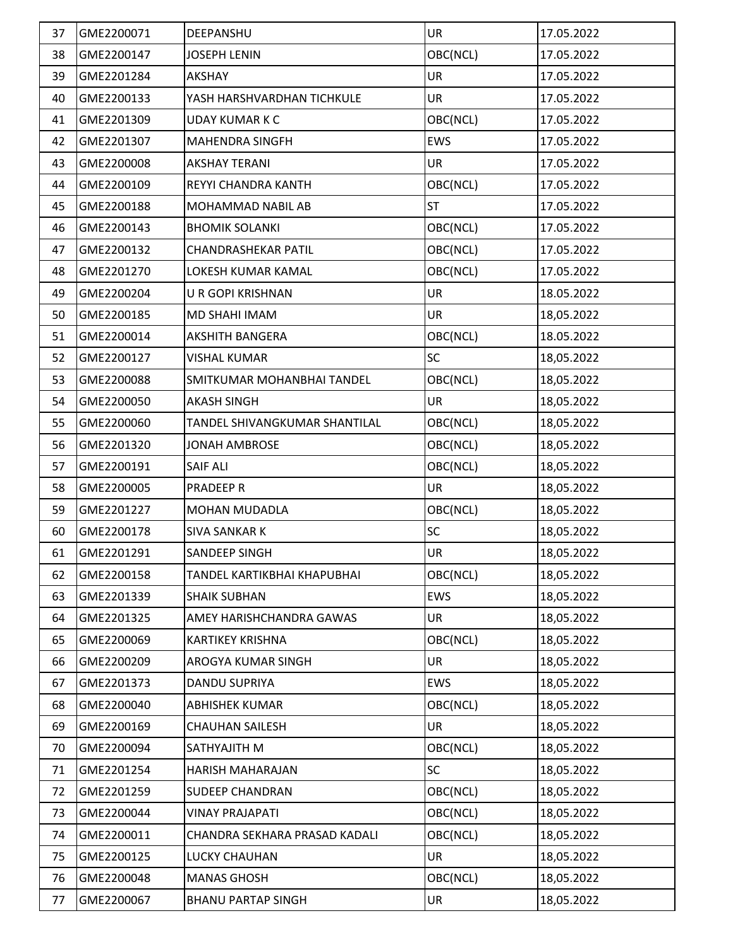| 37 | GME2200071 | DEEPANSHU                     | <b>UR</b>  | 17.05.2022 |
|----|------------|-------------------------------|------------|------------|
| 38 | GME2200147 | <b>JOSEPH LENIN</b>           | OBC(NCL)   | 17.05.2022 |
| 39 | GME2201284 | AKSHAY                        | UR         | 17.05.2022 |
| 40 | GME2200133 | YASH HARSHVARDHAN TICHKULE    | UR         | 17.05.2022 |
| 41 | GME2201309 | <b>UDAY KUMAR K C</b>         | OBC(NCL)   | 17.05.2022 |
| 42 | GME2201307 | <b>MAHENDRA SINGFH</b>        | EWS        | 17.05.2022 |
| 43 | GME2200008 | <b>AKSHAY TERANI</b>          | UR         | 17.05.2022 |
| 44 | GME2200109 | REYYI CHANDRA KANTH           | OBC(NCL)   | 17.05.2022 |
| 45 | GME2200188 | MOHAMMAD NABIL AB             | <b>ST</b>  | 17.05.2022 |
| 46 | GME2200143 | <b>BHOMIK SOLANKI</b>         | OBC(NCL)   | 17.05.2022 |
| 47 | GME2200132 | CHANDRASHEKAR PATIL           | OBC(NCL)   | 17.05.2022 |
| 48 | GME2201270 | LOKESH KUMAR KAMAL            | OBC(NCL)   | 17.05.2022 |
| 49 | GME2200204 | <b>U R GOPI KRISHNAN</b>      | UR         | 18.05.2022 |
| 50 | GME2200185 | MD SHAHI IMAM                 | UR         | 18,05.2022 |
| 51 | GME2200014 | <b>AKSHITH BANGERA</b>        | OBC(NCL)   | 18.05.2022 |
| 52 | GME2200127 | <b>VISHAL KUMAR</b>           | SC         | 18,05.2022 |
| 53 | GME2200088 | SMITKUMAR MOHANBHAI TANDEL    | OBC(NCL)   | 18,05.2022 |
| 54 | GME2200050 | <b>AKASH SINGH</b>            | UR         | 18,05.2022 |
| 55 | GME2200060 | TANDEL SHIVANGKUMAR SHANTILAL | OBC(NCL)   | 18,05.2022 |
| 56 | GME2201320 | JONAH AMBROSE                 | OBC(NCL)   | 18,05.2022 |
| 57 | GME2200191 | <b>SAIF ALI</b>               | OBC(NCL)   | 18,05.2022 |
| 58 | GME2200005 | <b>PRADEEP R</b>              | UR         | 18,05.2022 |
| 59 | GME2201227 | <b>MOHAN MUDADLA</b>          | OBC(NCL)   | 18,05.2022 |
| 60 | GME2200178 | <b>SIVA SANKAR K</b>          | SC         | 18,05.2022 |
| 61 | GME2201291 | SANDEEP SINGH                 | UR         | 18,05.2022 |
| 62 | GME2200158 | TANDEL KARTIKBHAI KHAPUBHAI   | OBC(NCL)   | 18,05.2022 |
| 63 | GME2201339 | <b>SHAIK SUBHAN</b>           | EWS        | 18,05.2022 |
| 64 | GME2201325 | AMEY HARISHCHANDRA GAWAS      | <b>UR</b>  | 18,05.2022 |
| 65 | GME2200069 | <b>KARTIKEY KRISHNA</b>       | OBC(NCL)   | 18,05.2022 |
| 66 | GME2200209 | AROGYA KUMAR SINGH            | <b>UR</b>  | 18,05.2022 |
| 67 | GME2201373 | DANDU SUPRIYA                 | <b>EWS</b> | 18,05.2022 |
| 68 | GME2200040 | ABHISHEK KUMAR                | OBC(NCL)   | 18,05.2022 |
| 69 | GME2200169 | <b>CHAUHAN SAILESH</b>        | UR         | 18,05.2022 |
| 70 | GME2200094 | SATHYAJITH M                  | OBC(NCL)   | 18,05.2022 |
| 71 | GME2201254 | HARISH MAHARAJAN              | <b>SC</b>  | 18,05.2022 |
| 72 | GME2201259 | <b>SUDEEP CHANDRAN</b>        | OBC(NCL)   | 18,05.2022 |
| 73 | GME2200044 | <b>VINAY PRAJAPATI</b>        | OBC(NCL)   | 18,05.2022 |
| 74 | GME2200011 | CHANDRA SEKHARA PRASAD KADALI | OBC(NCL)   | 18,05.2022 |
| 75 | GME2200125 | LUCKY CHAUHAN                 | UR         | 18,05.2022 |
| 76 | GME2200048 | <b>MANAS GHOSH</b>            | OBC(NCL)   | 18,05.2022 |
| 77 | GME2200067 | <b>BHANU PARTAP SINGH</b>     | <b>UR</b>  | 18,05.2022 |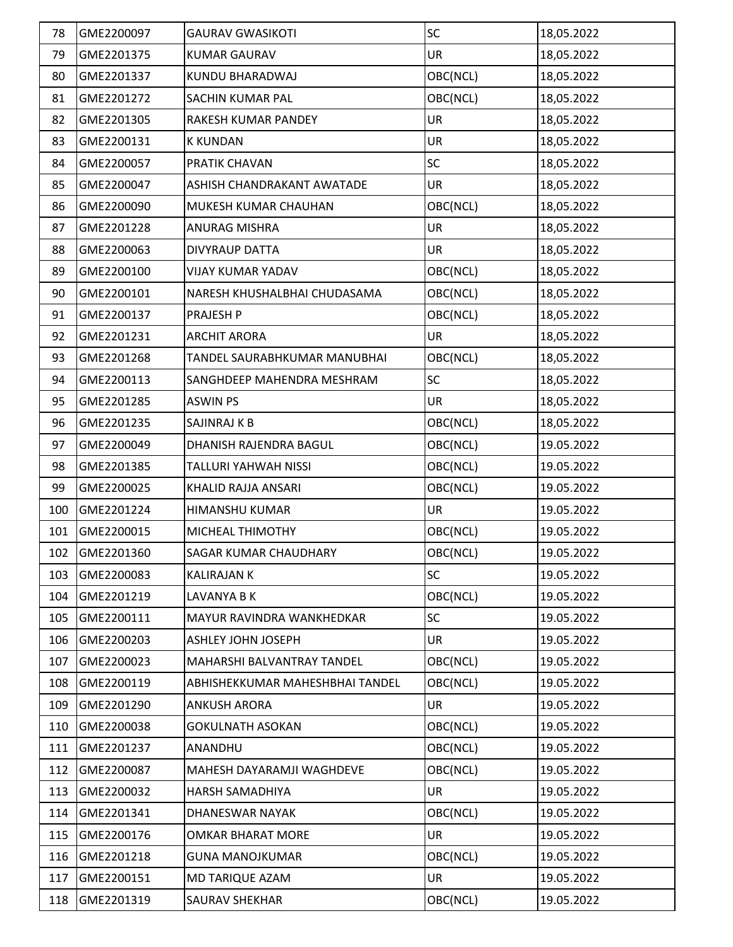| 78  | GME2200097 | <b>GAURAV GWASIKOTI</b>         | SC        | 18,05.2022 |
|-----|------------|---------------------------------|-----------|------------|
| 79  | GME2201375 | <b>KUMAR GAURAV</b>             | UR        | 18,05.2022 |
| 80  | GME2201337 | KUNDU BHARADWAJ                 | OBC(NCL)  | 18,05.2022 |
| 81  | GME2201272 | SACHIN KUMAR PAL                | OBC(NCL)  | 18,05.2022 |
| 82  | GME2201305 | RAKESH KUMAR PANDEY             | UR        | 18,05.2022 |
| 83  | GME2200131 | <b>K KUNDAN</b>                 | UR        | 18,05.2022 |
| 84  | GME2200057 | PRATIK CHAVAN                   | SC        | 18,05.2022 |
| 85  | GME2200047 | ASHISH CHANDRAKANT AWATADE      | UR        | 18,05.2022 |
| 86  | GME2200090 | MUKESH KUMAR CHAUHAN            | OBC(NCL)  | 18,05.2022 |
| 87  | GME2201228 | ANURAG MISHRA                   | <b>UR</b> | 18,05.2022 |
| 88  | GME2200063 | <b>DIVYRAUP DATTA</b>           | <b>UR</b> | 18,05.2022 |
| 89  | GME2200100 | <b>VIJAY KUMAR YADAV</b>        | OBC(NCL)  | 18,05.2022 |
| 90  | GME2200101 | NARESH KHUSHALBHAI CHUDASAMA    | OBC(NCL)  | 18,05.2022 |
| 91  | GME2200137 | PRAJESH P                       | OBC(NCL)  | 18,05.2022 |
| 92  | GME2201231 | <b>ARCHIT ARORA</b>             | UR        | 18,05.2022 |
| 93  | GME2201268 | TANDEL SAURABHKUMAR MANUBHAI    | OBC(NCL)  | 18,05.2022 |
| 94  | GME2200113 | SANGHDEEP MAHENDRA MESHRAM      | SC        | 18,05.2022 |
| 95  | GME2201285 | <b>ASWIN PS</b>                 | UR        | 18,05.2022 |
| 96  | GME2201235 | SAJINRAJ K B                    | OBC(NCL)  | 18,05.2022 |
| 97  | GME2200049 | DHANISH RAJENDRA BAGUL          | OBC(NCL)  | 19.05.2022 |
| 98  | GME2201385 | TALLURI YAHWAH NISSI            | OBC(NCL)  | 19.05.2022 |
| 99  | GME2200025 | KHALID RAJJA ANSARI             | OBC(NCL)  | 19.05.2022 |
| 100 | GME2201224 | HIMANSHU KUMAR                  | <b>UR</b> | 19.05.2022 |
| 101 | GME2200015 | MICHEAL THIMOTHY                | OBC(NCL)  | 19.05.2022 |
| 102 | GME2201360 | SAGAR KUMAR CHAUDHARY           | OBC(NCL)  | 19.05.2022 |
| 103 | GME2200083 | <b>KALIRAJAN K</b>              | <b>SC</b> | 19.05.2022 |
| 104 | GME2201219 | LAVANYA B K                     | OBC(NCL)  | 19.05.2022 |
| 105 | GME2200111 | MAYUR RAVINDRA WANKHEDKAR       | <b>SC</b> | 19.05.2022 |
| 106 | GME2200203 | ASHLEY JOHN JOSEPH              | UR        | 19.05.2022 |
| 107 | GME2200023 | MAHARSHI BALVANTRAY TANDEL      | OBC(NCL)  | 19.05.2022 |
| 108 | GME2200119 | ABHISHEKKUMAR MAHESHBHAI TANDEL | OBC(NCL)  | 19.05.2022 |
| 109 | GME2201290 | <b>ANKUSH ARORA</b>             | <b>UR</b> | 19.05.2022 |
| 110 | GME2200038 | <b>GOKULNATH ASOKAN</b>         | OBC(NCL)  | 19.05.2022 |
| 111 | GME2201237 | ANANDHU                         | OBC(NCL)  | 19.05.2022 |
| 112 | GME2200087 | MAHESH DAYARAMJI WAGHDEVE       | OBC(NCL)  | 19.05.2022 |
| 113 | GME2200032 | HARSH SAMADHIYA                 | <b>UR</b> | 19.05.2022 |
| 114 | GME2201341 | DHANESWAR NAYAK                 | OBC(NCL)  | 19.05.2022 |
| 115 | GME2200176 | <b>OMKAR BHARAT MORE</b>        | <b>UR</b> | 19.05.2022 |
| 116 | GME2201218 | <b>GUNA MANOJKUMAR</b>          | OBC(NCL)  | 19.05.2022 |
| 117 | GME2200151 | MD TARIQUE AZAM                 | <b>UR</b> | 19.05.2022 |
| 118 | GME2201319 | SAURAV SHEKHAR                  | OBC(NCL)  | 19.05.2022 |